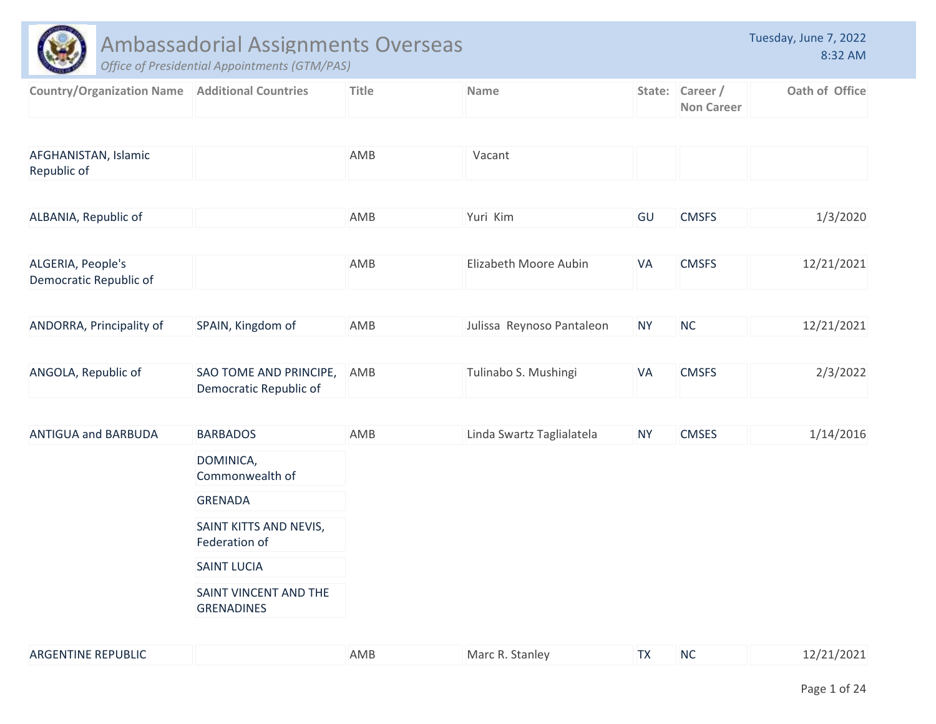|                                                         | Ambassadorial Assignments Overseas<br>Office of Presidential Appointments (GTM/PAS) |              |                           |           |                                      | Tuesday, June 7, 2022<br>8:32 AM |
|---------------------------------------------------------|-------------------------------------------------------------------------------------|--------------|---------------------------|-----------|--------------------------------------|----------------------------------|
| <b>Country/Organization Name   Additional Countries</b> |                                                                                     | <b>Title</b> | <b>Name</b>               |           | State: Career /<br><b>Non Career</b> | Oath of Office                   |
| AFGHANISTAN, Islamic<br>Republic of                     |                                                                                     | AMB          | Vacant                    |           |                                      |                                  |
| ALBANIA, Republic of                                    |                                                                                     | AMB          | Yuri Kim                  | GU        | <b>CMSFS</b>                         | 1/3/2020                         |
| ALGERIA, People's<br>Democratic Republic of             |                                                                                     | AMB          | Elizabeth Moore Aubin     | <b>VA</b> | <b>CMSFS</b>                         | 12/21/2021                       |
| ANDORRA, Principality of                                | SPAIN, Kingdom of                                                                   | AMB          | Julissa Reynoso Pantaleon | <b>NY</b> | <b>NC</b>                            | 12/21/2021                       |
| ANGOLA, Republic of                                     | SAO TOME AND PRINCIPE,<br>Democratic Republic of                                    | AMB          | Tulinabo S. Mushingi      | VA        | <b>CMSFS</b>                         | 2/3/2022                         |
| <b>ANTIGUA and BARBUDA</b>                              | <b>BARBADOS</b>                                                                     | AMB          | Linda Swartz Taglialatela | <b>NY</b> | <b>CMSES</b>                         | 1/14/2016                        |
|                                                         | DOMINICA,<br>Commonwealth of                                                        |              |                           |           |                                      |                                  |
|                                                         | <b>GRENADA</b>                                                                      |              |                           |           |                                      |                                  |
|                                                         | SAINT KITTS AND NEVIS,<br>Federation of                                             |              |                           |           |                                      |                                  |
|                                                         | <b>SAINT LUCIA</b>                                                                  |              |                           |           |                                      |                                  |
|                                                         | SAINT VINCENT AND THE<br><b>GRENADINES</b>                                          |              |                           |           |                                      |                                  |
| ARGENTINE REPUBLIC                                      |                                                                                     | AMB          | Marc R. Stanley           | <b>TX</b> | NC                                   | 12/21/2021                       |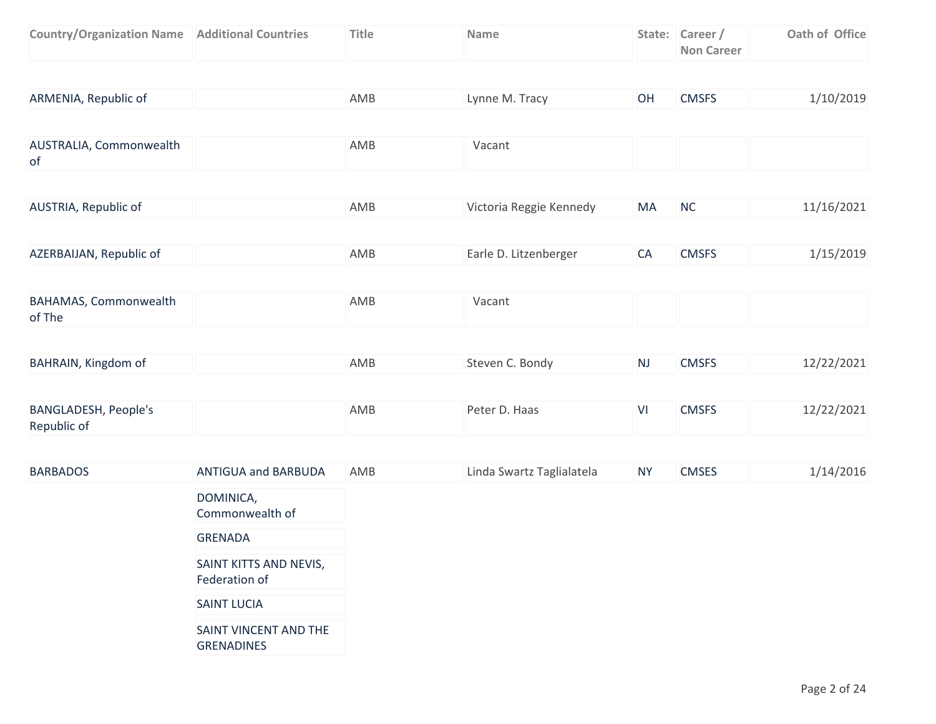| <b>Country/Organization Name   Additional Countries</b> | <b>Title</b> | <b>Name</b> | State: Career /   | Oath of Office |
|---------------------------------------------------------|--------------|-------------|-------------------|----------------|
|                                                         |              |             | <b>Non Career</b> |                |

| ARMENIA, Republic of | AMB | Lynne M. Tracy |  | <b>CMSFS</b> | 1/10/2019 |
|----------------------|-----|----------------|--|--------------|-----------|
|----------------------|-----|----------------|--|--------------|-----------|

| AUSTRALIA, Commonwealth | AMB | Vacant |  |
|-------------------------|-----|--------|--|
| 0t                      |     |        |  |

| AUSTRIA, Republic of | AMB | Victoria Reggie Kennedy | <b>MA</b> | N0 | 11/16/2021 |
|----------------------|-----|-------------------------|-----------|----|------------|
|                      |     |                         |           |    |            |

| AZERBAIJAN, Republic of | AMB | Earle D. Litzenberger | <b>CMSFS</b> | 1/15/2019 |
|-------------------------|-----|-----------------------|--------------|-----------|
|                         |     |                       |              |           |

| <b>BAHAMAS, Commonwealth</b> | AMB | Vacant |  |  |
|------------------------------|-----|--------|--|--|
| of The                       |     |        |  |  |

| BAHRAIN, Kingdom of | AMB | Steven C. Bondy | N. | <b>CMSFS</b> | 12/22/2021 |
|---------------------|-----|-----------------|----|--------------|------------|
|                     |     |                 |    |              |            |

| <b>BANGLADESH, People's</b> | AMB | Peter D. Haas | <b>CMSFS</b> | 12/22/2021 |
|-----------------------------|-----|---------------|--------------|------------|
| Republic of                 |     |               |              |            |

| <b>BARBADOS</b> | ANTIGUA and BARBUDA                        | AMB | Linda Swartz Taglialatela | <b>NY</b> | <b>CMSES</b> | 1/14/2016 |
|-----------------|--------------------------------------------|-----|---------------------------|-----------|--------------|-----------|
|                 | DOMINICA,<br>Commonwealth of               |     |                           |           |              |           |
|                 | <b>GRENADA</b>                             |     |                           |           |              |           |
|                 | SAINT KITTS AND NEVIS,<br>Federation of    |     |                           |           |              |           |
|                 | <b>SAINT LUCIA</b>                         |     |                           |           |              |           |
|                 | SAINT VINCENT AND THE<br><b>GRENADINES</b> |     |                           |           |              |           |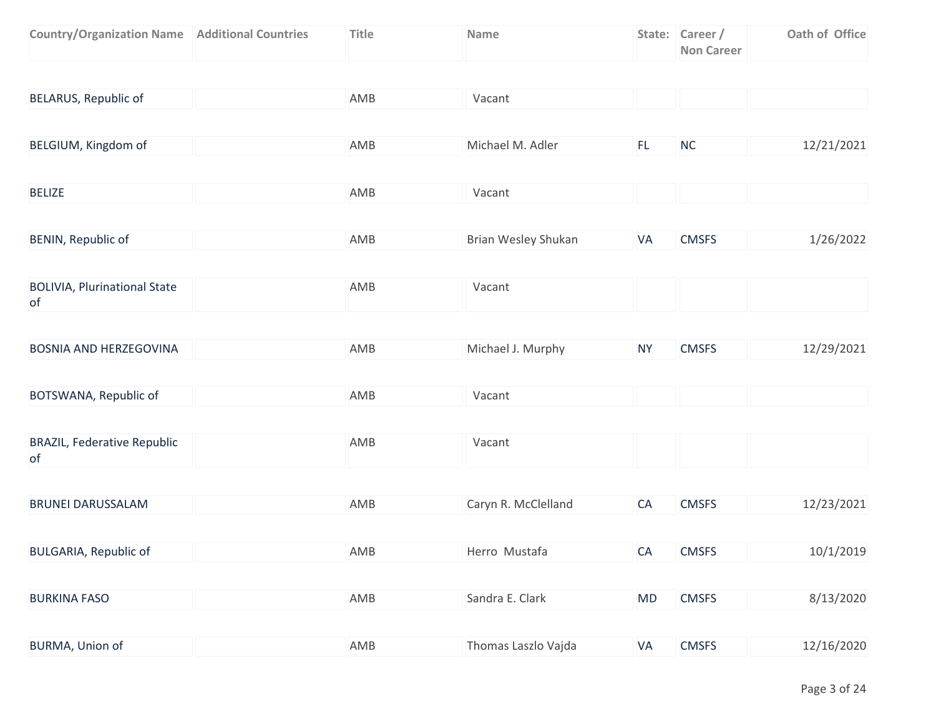| <b>Country/Organization Name   Additional Countries</b> | <b>Title</b> | <b>Name</b> | State: Career /   | Oath of Office |
|---------------------------------------------------------|--------------|-------------|-------------------|----------------|
|                                                         |              |             | <b>Non Career</b> |                |

| BELARUS, Republic of                      | AMB | Vacant              |           |              |            |
|-------------------------------------------|-----|---------------------|-----------|--------------|------------|
|                                           |     |                     |           |              |            |
| BELGIUM, Kingdom of                       | AMB | Michael M. Adler    | FL.       | NC           | 12/21/2021 |
|                                           |     |                     |           |              |            |
| <b>BELIZE</b>                             | AMB | Vacant              |           |              |            |
|                                           |     |                     |           |              |            |
| BENIN, Republic of                        | AMB | Brian Wesley Shukan | VA        | <b>CMSFS</b> | 1/26/2022  |
|                                           |     |                     |           |              |            |
| <b>BOLIVIA, Plurinational State</b><br>of | AMB | Vacant              |           |              |            |
|                                           |     |                     |           |              |            |
| <b>BOSNIA AND HERZEGOVINA</b>             | AMB | Michael J. Murphy   | <b>NY</b> | <b>CMSFS</b> | 12/29/2021 |
|                                           |     |                     |           |              |            |
| BOTSWANA, Republic of                     | AMB | Vacant              |           |              |            |
|                                           |     |                     |           |              |            |
| <b>BRAZIL, Federative Republic</b><br>of  | AMB | Vacant              |           |              |            |
|                                           |     |                     |           |              |            |
| <b>BRUNEI DARUSSALAM</b>                  | AMB | Caryn R. McClelland | CA        | <b>CMSFS</b> | 12/23/2021 |
|                                           |     |                     |           |              |            |
| <b>BULGARIA, Republic of</b>              | AMB | Herro Mustafa       | CA        | <b>CMSFS</b> | 10/1/2019  |
|                                           |     |                     |           |              |            |
| <b>BURKINA FASO</b>                       | AMB | Sandra E. Clark     | <b>MD</b> | <b>CMSFS</b> | 8/13/2020  |
|                                           |     |                     |           |              |            |
| BURMA, Union of                           | AMB | Thomas Laszlo Vajda | VA        | <b>CMSFS</b> | 12/16/2020 |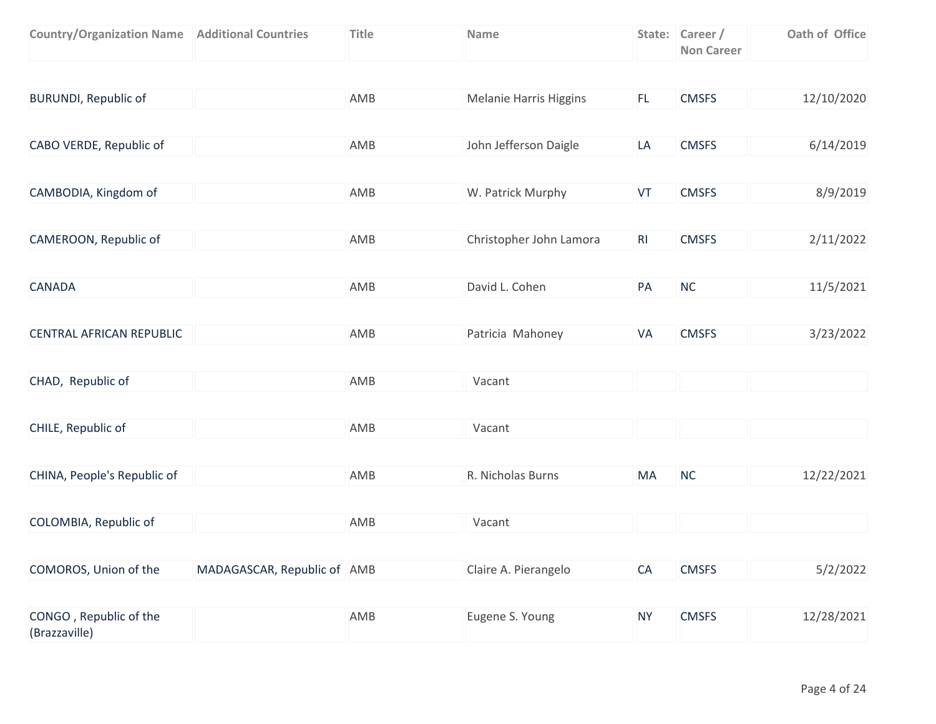| <b>Country/Organization Name   Additional Countries</b> |                             | <b>Title</b> | Name                          |           | State: Career /<br><b>Non Career</b> | Oath of Office |
|---------------------------------------------------------|-----------------------------|--------------|-------------------------------|-----------|--------------------------------------|----------------|
|                                                         |                             |              |                               |           |                                      |                |
| <b>BURUNDI, Republic of</b>                             |                             | AMB          | <b>Melanie Harris Higgins</b> | FL.       | <b>CMSFS</b>                         | 12/10/2020     |
|                                                         |                             |              |                               |           |                                      |                |
| CABO VERDE, Republic of                                 |                             | AMB          | John Jefferson Daigle         | LA        | <b>CMSFS</b>                         | 6/14/2019      |
|                                                         |                             |              |                               |           |                                      |                |
| CAMBODIA, Kingdom of                                    |                             | AMB          | W. Patrick Murphy             | VT        | <b>CMSFS</b>                         | 8/9/2019       |
|                                                         |                             |              |                               |           |                                      |                |
| CAMEROON, Republic of                                   |                             | AMB          | Christopher John Lamora       | RI        | <b>CMSFS</b>                         | 2/11/2022      |
|                                                         |                             |              |                               |           |                                      |                |
| <b>CANADA</b>                                           |                             | AMB          | David L. Cohen                | PA        | NC                                   | 11/5/2021      |
|                                                         |                             |              |                               |           |                                      |                |
| CENTRAL AFRICAN REPUBLIC                                |                             | AMB          | Patricia Mahoney              | VA        | <b>CMSFS</b>                         | 3/23/2022      |
|                                                         |                             |              |                               |           |                                      |                |
| CHAD, Republic of                                       |                             | AMB          | Vacant                        |           |                                      |                |
|                                                         |                             |              |                               |           |                                      |                |
| CHILE, Republic of                                      |                             | AMB          | Vacant                        |           |                                      |                |
|                                                         |                             |              |                               |           |                                      |                |
| CHINA, People's Republic of                             |                             | AMB          | R. Nicholas Burns             | MA        | NC                                   | 12/22/2021     |
|                                                         |                             |              |                               |           |                                      |                |
| COLOMBIA, Republic of                                   |                             | AMB          | Vacant                        |           |                                      |                |
|                                                         |                             |              |                               |           |                                      |                |
| COMOROS, Union of the                                   | MADAGASCAR, Republic of AMB |              | Claire A. Pierangelo          | CA        | <b>CMSFS</b>                         | 5/2/2022       |
|                                                         |                             |              |                               |           |                                      |                |
| CONGO, Republic of the<br>(Brazzaville)                 |                             | AMB          | Eugene S. Young               | <b>NY</b> | <b>CMSFS</b>                         | 12/28/2021     |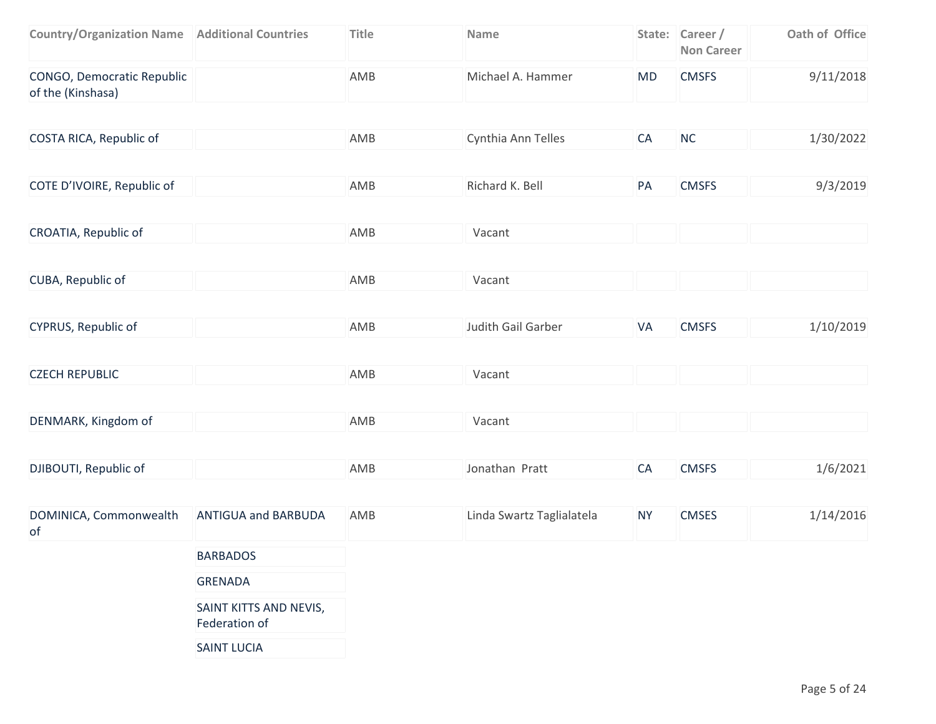| <b>Country/Organization Name   Additional Countries</b> | <b>Title</b> | <b>Name</b>        |    | State: Career /<br><b>Non Career</b> | Oath of Office |
|---------------------------------------------------------|--------------|--------------------|----|--------------------------------------|----------------|
| CONGO, Democratic Republic<br>of the (Kinshasa)         | AMB          | Michael A. Hammer  | MD | <b>CMSFS</b>                         | 9/11/2018      |
| COSTA RICA, Republic of                                 | AMB          | Cynthia Ann Telles | CA | <b>NC</b>                            | 1/30/2022      |
| COTE D'IVOIRE, Republic of                              | AMB          | Richard K. Bell    | PA | <b>CMSFS</b>                         | 9/3/2019       |

| CROATIA, Republic of | AMB | Vacant |  |  |
|----------------------|-----|--------|--|--|
|                      |     |        |  |  |

| CUBA, Republic of | AMB | Vacant |  |
|-------------------|-----|--------|--|
|                   |     |        |  |

| CYPRUS, Republic of | AMB | Judith Gail Garber | <b>CMSFS</b> | 1/10/2019 |
|---------------------|-----|--------------------|--------------|-----------|
|                     |     |                    |              |           |

| <b>CZECH REPUBLIC</b> | AMB<br>the contract of the contract of the contract of the contract of | Vacant |  |  |
|-----------------------|------------------------------------------------------------------------|--------|--|--|
|                       |                                                                        |        |  |  |

| DENMARK, Kingdom of | AMB | Vacant |  |  |
|---------------------|-----|--------|--|--|
|                     |     |        |  |  |

|  | DJIBOUTI, Republic of | AMB | Jonathan Pratt |  | <b>CMSFS</b> | 1/6/2021 |
|--|-----------------------|-----|----------------|--|--------------|----------|
|--|-----------------------|-----|----------------|--|--------------|----------|

| DOMINICA, Commonwealth<br>of | <b>ANTIGUA and BARBUDA</b>              | AMB | Linda Swartz Taglialatela | <b>NY</b> | <b>CMSES</b> | 1/14/2016 |
|------------------------------|-----------------------------------------|-----|---------------------------|-----------|--------------|-----------|
|                              | <b>BARBADOS</b>                         |     |                           |           |              |           |
|                              | <b>GRENADA</b>                          |     |                           |           |              |           |
|                              | SAINT KITTS AND NEVIS,<br>Federation of |     |                           |           |              |           |
|                              | <b>SAINT LUCIA</b>                      |     |                           |           |              |           |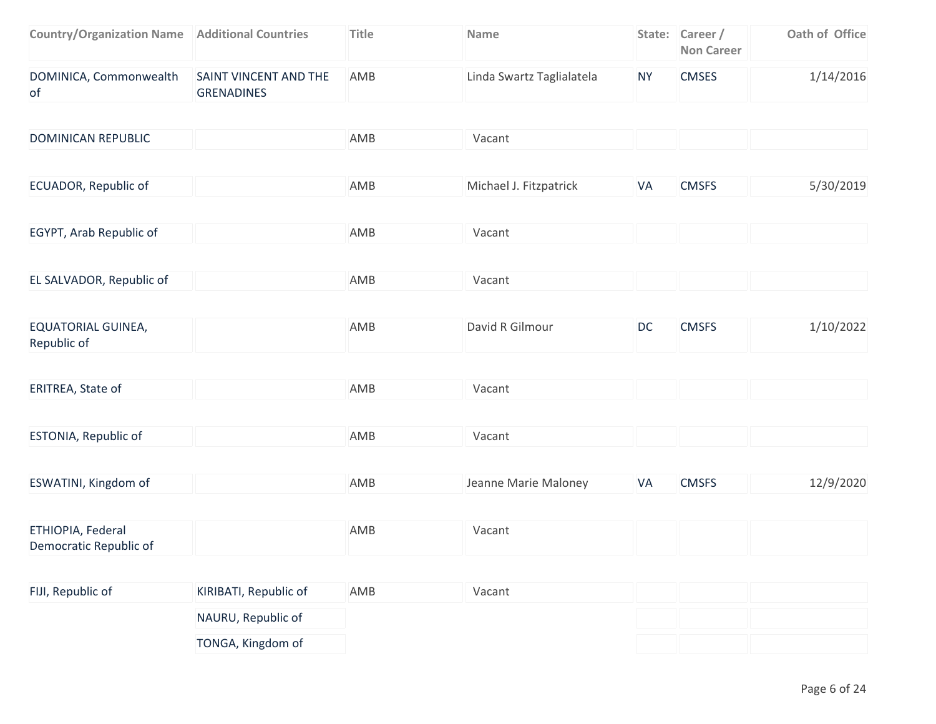| <b>Additional Countries</b>                | <b>Title</b> | Name                      |                  | <b>Non Career</b> | Oath of Office  |
|--------------------------------------------|--------------|---------------------------|------------------|-------------------|-----------------|
| SAINT VINCENT AND THE<br><b>GRENADINES</b> | AMB          | Linda Swartz Taglialatela | <b>NY</b>        | <b>CMSES</b>      | 1/14/2016       |
|                                            |              |                           |                  |                   |                 |
|                                            | AMB          | Vacant                    |                  |                   |                 |
|                                            |              |                           |                  |                   |                 |
|                                            | AMB          | Michael J. Fitzpatrick    | VA               | <b>CMSFS</b>      | 5/30/2019       |
|                                            |              |                           |                  |                   |                 |
|                                            |              |                           |                  |                   |                 |
|                                            |              |                           |                  |                   |                 |
|                                            |              |                           |                  |                   |                 |
|                                            | AMB          | David R Gilmour           | <b>DC</b>        | <b>CMSFS</b>      | 1/10/2022       |
|                                            |              | AMB<br>AMB                | Vacant<br>Vacant |                   | State: Career / |

| ERITREA, State of | AMB | Vacant |  |  |
|-------------------|-----|--------|--|--|
|                   |     |        |  |  |

| <b>ESTONIA, Republic of</b> | AMB | Vacant |  |  |
|-----------------------------|-----|--------|--|--|

| ESWATINI, Kingdom of | AMB | Jeanne Marie Maloney | <b>CMSFS</b> | 12/9/2020 |
|----------------------|-----|----------------------|--------------|-----------|
|                      |     |                      |              |           |

| ETHIOPIA, Federal      | AMB | Vacant |  |
|------------------------|-----|--------|--|
| Democratic Republic of |     |        |  |

| FIJI, Republic of | KIRIBATI, Republic of | AMB | Vacant |  |  |
|-------------------|-----------------------|-----|--------|--|--|
|                   | NAURU, Republic of    |     |        |  |  |
|                   | TONGA, Kingdom of     |     |        |  |  |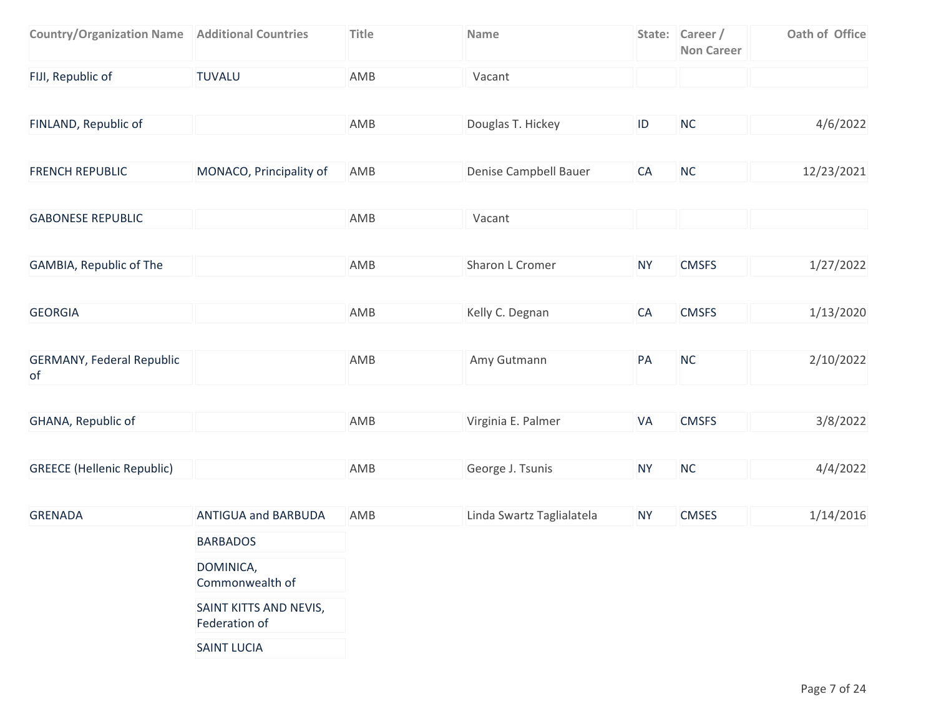| <b>Country/Organization Name   Additional Countries</b> |                            | <b>Title</b> | Name                      |           | State: Career /<br><b>Non Career</b> | Oath of Office |
|---------------------------------------------------------|----------------------------|--------------|---------------------------|-----------|--------------------------------------|----------------|
| FIJI, Republic of                                       | <b>TUVALU</b>              | AMB          | Vacant                    |           |                                      |                |
|                                                         |                            |              |                           |           |                                      |                |
| FINLAND, Republic of                                    |                            | AMB          | Douglas T. Hickey         | $\sf ID$  | NC                                   | 4/6/2022       |
|                                                         |                            |              |                           |           |                                      |                |
| <b>FRENCH REPUBLIC</b>                                  | MONACO, Principality of    | AMB          | Denise Campbell Bauer     | CA        | NC                                   | 12/23/2021     |
|                                                         |                            |              |                           |           |                                      |                |
| <b>GABONESE REPUBLIC</b>                                |                            | AMB          | Vacant                    |           |                                      |                |
|                                                         |                            |              |                           |           |                                      |                |
| GAMBIA, Republic of The                                 |                            | AMB          | Sharon L Cromer           | <b>NY</b> | <b>CMSFS</b>                         | 1/27/2022      |
|                                                         |                            |              |                           |           |                                      |                |
| <b>GEORGIA</b>                                          |                            | AMB          | Kelly C. Degnan           | CA        | <b>CMSFS</b>                         | 1/13/2020      |
|                                                         |                            |              |                           |           |                                      |                |
| <b>GERMANY, Federal Republic</b><br>of                  |                            | AMB          | Amy Gutmann               | PA        | NC                                   | 2/10/2022      |
|                                                         |                            |              |                           |           |                                      |                |
| GHANA, Republic of                                      |                            | AMB          | Virginia E. Palmer        | VA        | <b>CMSFS</b>                         | 3/8/2022       |
|                                                         |                            |              |                           |           |                                      |                |
| <b>GREECE (Hellenic Republic)</b>                       |                            | AMB          | George J. Tsunis          | <b>NY</b> | NC                                   | 4/4/2022       |
|                                                         |                            |              |                           |           |                                      |                |
| <b>GRENADA</b>                                          | <b>ANTIGUA and BARBUDA</b> | AMB          | Linda Swartz Taglialatela | <b>NY</b> | <b>CMSES</b>                         | 1/14/2016      |
|                                                         | <b>BARBADOS</b>            |              |                           |           |                                      |                |
|                                                         | DOMINICA,                  |              |                           |           |                                      |                |

Commonwealth of

SAINT KITTS AND NEVIS,

Federation of

SAINT LUCIA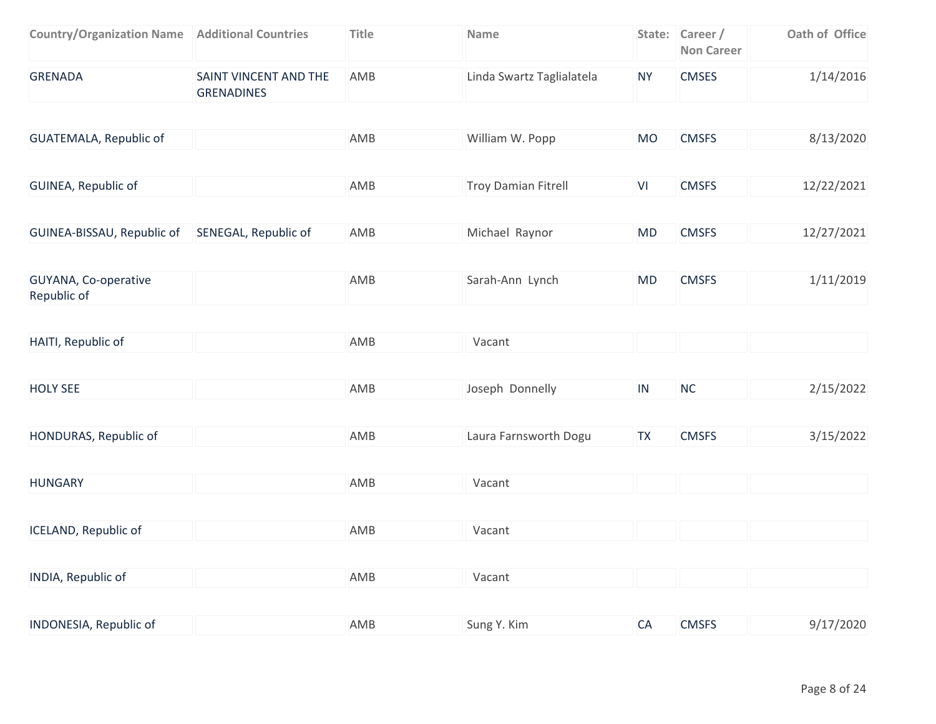| <b>Country/Organization Name   Additional Countries</b> |                                            | <b>Title</b> | Name                       |           | State: Career /<br><b>Non Career</b> | Oath of Office |
|---------------------------------------------------------|--------------------------------------------|--------------|----------------------------|-----------|--------------------------------------|----------------|
| <b>GRENADA</b>                                          | SAINT VINCENT AND THE<br><b>GRENADINES</b> | AMB          | Linda Swartz Taglialatela  | <b>NY</b> | <b>CMSES</b>                         | 1/14/2016      |
|                                                         |                                            |              |                            |           |                                      |                |
| <b>GUATEMALA, Republic of</b>                           |                                            | AMB          | William W. Popp            | <b>MO</b> | <b>CMSFS</b>                         | 8/13/2020      |
|                                                         |                                            |              |                            |           |                                      |                |
| GUINEA, Republic of                                     |                                            | AMB          | <b>Troy Damian Fitrell</b> | VI        | <b>CMSFS</b>                         | 12/22/2021     |
|                                                         |                                            |              |                            |           |                                      |                |
| GUINEA-BISSAU, Republic of SENEGAL, Republic of         |                                            | AMB          | Michael Raynor             | <b>MD</b> | <b>CMSFS</b>                         | 12/27/2021     |
|                                                         |                                            |              |                            |           |                                      |                |
| GUYANA, Co-operative<br>Republic of                     |                                            | AMB          | Sarah-Ann Lynch            | <b>MD</b> | <b>CMSFS</b>                         | 1/11/2019      |
|                                                         |                                            |              |                            |           |                                      |                |
| HAITI, Republic of                                      |                                            | AMB          | Vacant                     |           |                                      |                |
| <b>HOLY SEE</b>                                         |                                            | AMB          | Joseph Donnelly            | IN        | NC                                   | 2/15/2022      |
|                                                         |                                            |              |                            |           |                                      |                |
| HONDURAS, Republic of                                   |                                            | AMB          | Laura Farnsworth Dogu      | <b>TX</b> | <b>CMSFS</b>                         | 3/15/2022      |
| <b>HUNGARY</b>                                          |                                            | AMB          | Vacant                     |           |                                      |                |
|                                                         |                                            |              |                            |           |                                      |                |
| ICELAND, Republic of                                    |                                            | AMB          | Vacant                     |           |                                      |                |
| INDIA, Republic of                                      |                                            | AMB          | Vacant                     |           |                                      |                |
|                                                         |                                            |              |                            |           |                                      |                |
| INDONESIA, Republic of                                  |                                            | AMB          | Sung Y. Kim                | CA        | <b>CMSFS</b>                         | 9/17/2020      |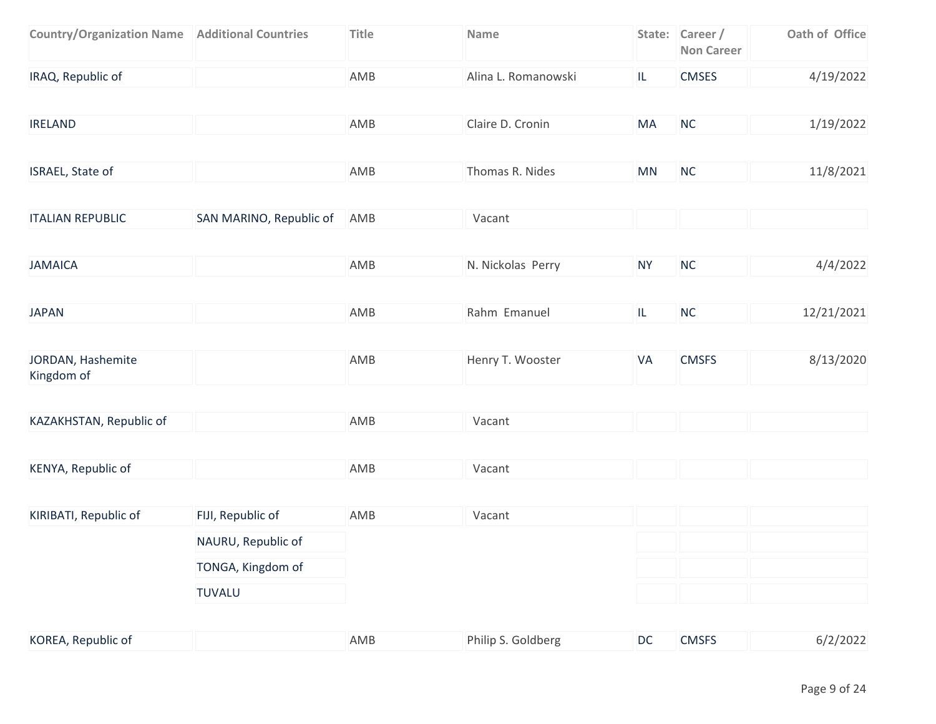| <b>Country/Organization Name   Additional Countries</b> |                         | <b>Title</b> | Name                |                                   | State: Career /<br><b>Non Career</b> | Oath of Office |
|---------------------------------------------------------|-------------------------|--------------|---------------------|-----------------------------------|--------------------------------------|----------------|
| IRAQ, Republic of                                       |                         | AMB          | Alina L. Romanowski | IL.                               | <b>CMSES</b>                         | 4/19/2022      |
| <b>IRELAND</b>                                          |                         | AMB          | Claire D. Cronin    | MA                                | <b>NC</b>                            | 1/19/2022      |
| ISRAEL, State of                                        |                         | AMB          | Thomas R. Nides     | MN                                | <b>NC</b>                            | 11/8/2021      |
| <b>ITALIAN REPUBLIC</b>                                 | SAN MARINO, Republic of | AMB          | Vacant              |                                   |                                      |                |
| <b>JAMAICA</b>                                          |                         | AMB          | N. Nickolas Perry   | <b>NY</b>                         | <b>NC</b>                            | 4/4/2022       |
| <b>JAPAN</b>                                            |                         | AMB          | Rahm Emanuel        | $\ensuremath{\mathsf{IL}}\xspace$ | NC                                   | 12/21/2021     |
| JORDAN, Hashemite<br>Kingdom of                         |                         | AMB          | Henry T. Wooster    | VA                                | <b>CMSFS</b>                         | 8/13/2020      |
| KAZAKHSTAN, Republic of                                 |                         | AMB          | Vacant              |                                   |                                      |                |
| KENYA, Republic of                                      |                         | AMB          | Vacant              |                                   |                                      |                |
| KIRIBATI, Republic of                                   | FIJI, Republic of       | AMB          | Vacant              |                                   |                                      |                |
|                                                         | NAURU, Republic of      |              |                     |                                   |                                      |                |
|                                                         | TONGA, Kingdom of       |              |                     |                                   |                                      |                |
|                                                         | <b>TUVALU</b>           |              |                     |                                   |                                      |                |
| KOREA, Republic of                                      |                         | AMB          | Philip S. Goldberg  | DC                                | <b>CMSFS</b>                         | 6/2/2022       |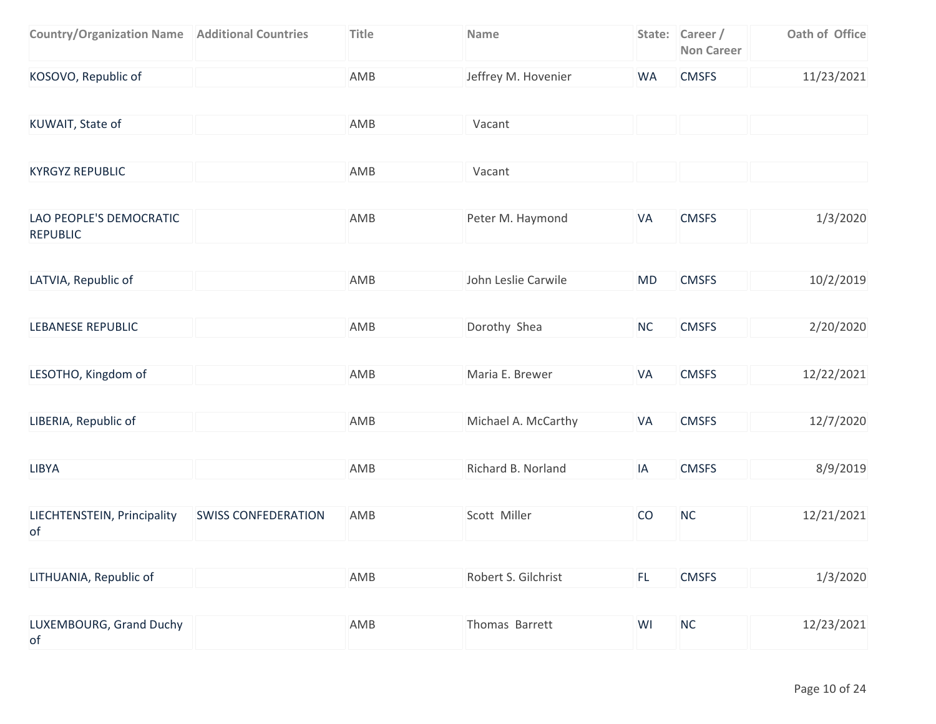| <b>Country/Organization Name   Additional Countries</b> |                            | <b>Title</b> | Name                |           | State: Career /<br><b>Non Career</b> | Oath of Office |
|---------------------------------------------------------|----------------------------|--------------|---------------------|-----------|--------------------------------------|----------------|
| KOSOVO, Republic of                                     |                            | AMB          | Jeffrey M. Hovenier | <b>WA</b> | <b>CMSFS</b>                         | 11/23/2021     |
| KUWAIT, State of                                        |                            | AMB          | Vacant              |           |                                      |                |
| <b>KYRGYZ REPUBLIC</b>                                  |                            | AMB          | Vacant              |           |                                      |                |
| LAO PEOPLE'S DEMOCRATIC<br><b>REPUBLIC</b>              |                            | AMB          | Peter M. Haymond    | <b>VA</b> | <b>CMSFS</b>                         | 1/3/2020       |
| LATVIA, Republic of                                     |                            | AMB          | John Leslie Carwile | <b>MD</b> | <b>CMSFS</b>                         | 10/2/2019      |
| <b>LEBANESE REPUBLIC</b>                                |                            | AMB          | Dorothy Shea        | <b>NC</b> | <b>CMSFS</b>                         | 2/20/2020      |
| LESOTHO, Kingdom of                                     |                            | AMB          | Maria E. Brewer     | VA        | <b>CMSFS</b>                         | 12/22/2021     |
| LIBERIA, Republic of                                    |                            | AMB          | Michael A. McCarthy | VA        | <b>CMSFS</b>                         | 12/7/2020      |
| <b>LIBYA</b>                                            |                            | AMB          | Richard B. Norland  | IA        | <b>CMSFS</b>                         | 8/9/2019       |
| LIECHTENSTEIN, Principality<br>of                       | <b>SWISS CONFEDERATION</b> | AMB          | Scott Miller        | CO        | NC                                   | 12/21/2021     |
| LITHUANIA, Republic of                                  |                            | AMB          | Robert S. Gilchrist | FL.       | <b>CMSFS</b>                         | 1/3/2020       |
| LUXEMBOURG, Grand Duchy<br>of                           |                            | AMB          | Thomas Barrett      | WI        | NC                                   | 12/23/2021     |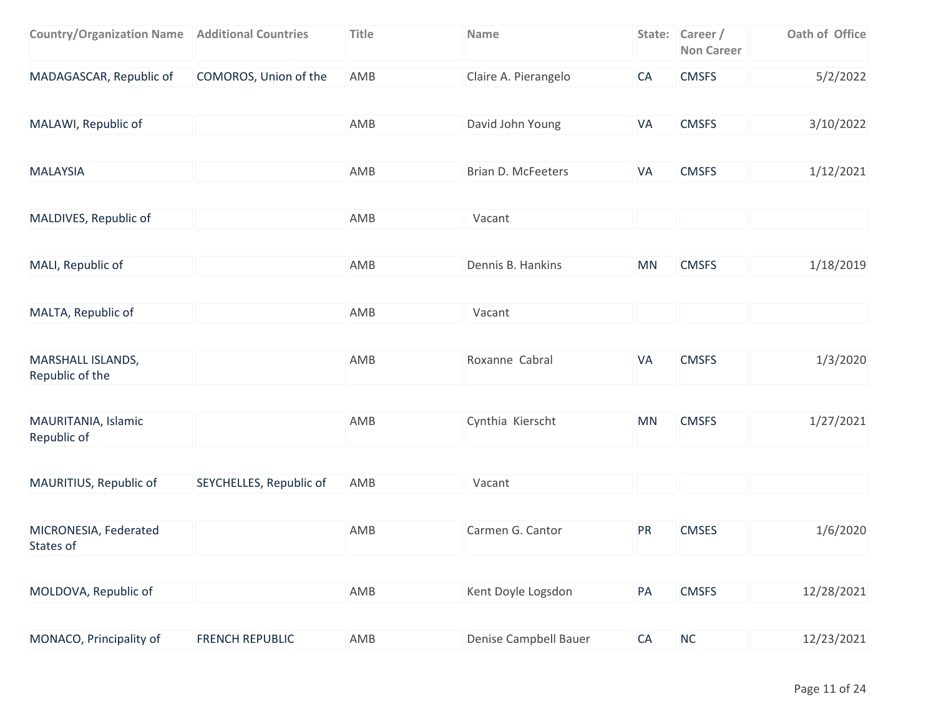| <b>Country/Organization Name   Additional Countries</b> |                         | <b>Title</b> | Name                      |           | State: Career /<br><b>Non Career</b> | Oath of Office |
|---------------------------------------------------------|-------------------------|--------------|---------------------------|-----------|--------------------------------------|----------------|
| MADAGASCAR, Republic of                                 | COMOROS, Union of the   | AMB          | Claire A. Pierangelo      | CA        | <b>CMSFS</b>                         | 5/2/2022       |
| MALAWI, Republic of                                     |                         | AMB          | David John Young          | VA        | <b>CMSFS</b>                         | 3/10/2022      |
| <b>MALAYSIA</b>                                         |                         | AMB          | <b>Brian D. McFeeters</b> | VA        | <b>CMSFS</b>                         | 1/12/2021      |
| MALDIVES, Republic of                                   |                         | AMB          | Vacant                    |           |                                      |                |
| MALI, Republic of                                       |                         | AMB          | Dennis B. Hankins         | <b>MN</b> | <b>CMSFS</b>                         | 1/18/2019      |
| MALTA, Republic of                                      |                         | AMB          | Vacant                    |           |                                      |                |
| <b>MARSHALL ISLANDS,</b><br>Republic of the             |                         | AMB          | Roxanne Cabral            | VA        | <b>CMSFS</b>                         | 1/3/2020       |
| MAURITANIA, Islamic<br>Republic of                      |                         | AMB          | Cynthia Kierscht          | <b>MN</b> | <b>CMSFS</b>                         | 1/27/2021      |
| MAURITIUS, Republic of                                  | SEYCHELLES, Republic of | AMB          | Vacant                    |           |                                      |                |
| MICRONESIA, Federated<br>States of                      |                         | AMB          | Carmen G. Cantor          | PR        | <b>CMSES</b>                         | 1/6/2020       |
| MOLDOVA, Republic of                                    |                         | AMB          | Kent Doyle Logsdon        | PA        | <b>CMSFS</b>                         | 12/28/2021     |
| MONACO, Principality of                                 | <b>FRENCH REPUBLIC</b>  | AMB          | Denise Campbell Bauer     | CA        | $NC$                                 | 12/23/2021     |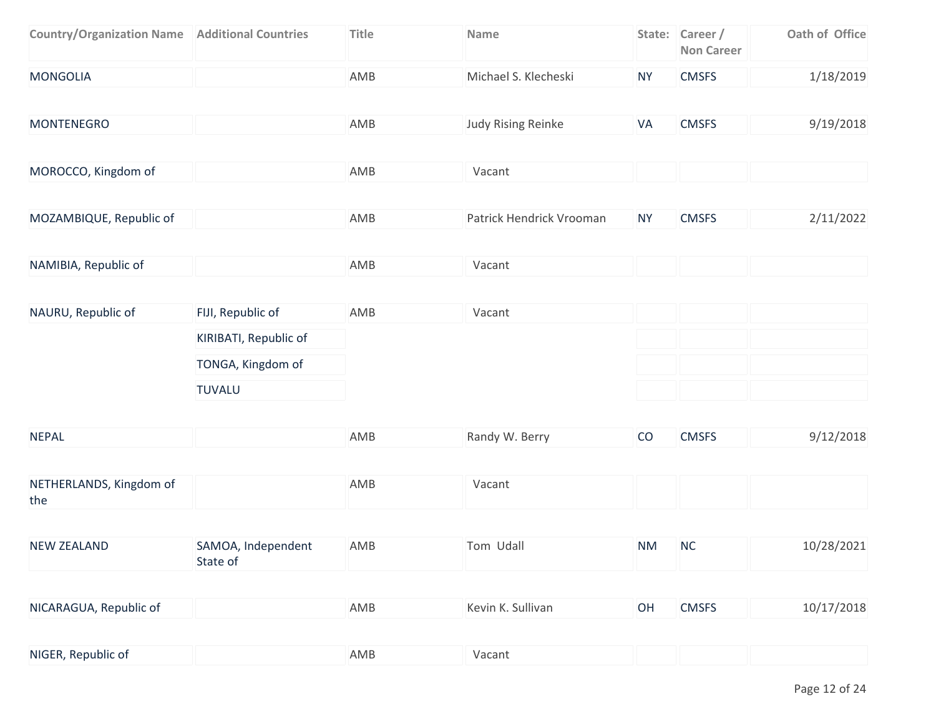| <b>Country/Organization Name   Additional Countries</b> |                                | <b>Title</b> | Name                      |           | State: Career /<br><b>Non Career</b> | Oath of Office |
|---------------------------------------------------------|--------------------------------|--------------|---------------------------|-----------|--------------------------------------|----------------|
| <b>MONGOLIA</b>                                         |                                | AMB          | Michael S. Klecheski      | <b>NY</b> | <b>CMSFS</b>                         | 1/18/2019      |
| <b>MONTENEGRO</b>                                       |                                | AMB          | <b>Judy Rising Reinke</b> | VA        | <b>CMSFS</b>                         | 9/19/2018      |
| MOROCCO, Kingdom of                                     |                                | AMB          | Vacant                    |           |                                      |                |
| MOZAMBIQUE, Republic of                                 |                                | AMB          | Patrick Hendrick Vrooman  | <b>NY</b> | <b>CMSFS</b>                         | 2/11/2022      |
| NAMIBIA, Republic of                                    |                                | AMB          | Vacant                    |           |                                      |                |
| NAURU, Republic of                                      | FIJI, Republic of              | AMB          | Vacant                    |           |                                      |                |
|                                                         | KIRIBATI, Republic of          |              |                           |           |                                      |                |
|                                                         | TONGA, Kingdom of              |              |                           |           |                                      |                |
|                                                         | <b>TUVALU</b>                  |              |                           |           |                                      |                |
| <b>NEPAL</b>                                            |                                | AMB          | Randy W. Berry            | CO        | <b>CMSFS</b>                         | 9/12/2018      |
| NETHERLANDS, Kingdom of<br>the                          |                                | AMB          | Vacant                    |           |                                      |                |
| <b>NEW ZEALAND</b>                                      | SAMOA, Independent<br>State of | AMB          | Tom Udall                 | <b>NM</b> | <b>NC</b>                            | 10/28/2021     |
| NICARAGUA, Republic of                                  |                                | AMB          | Kevin K. Sullivan         | OH        | <b>CMSFS</b>                         | 10/17/2018     |
|                                                         |                                |              |                           |           |                                      |                |
| NIGER, Republic of                                      |                                | AMB          | Vacant                    |           |                                      |                |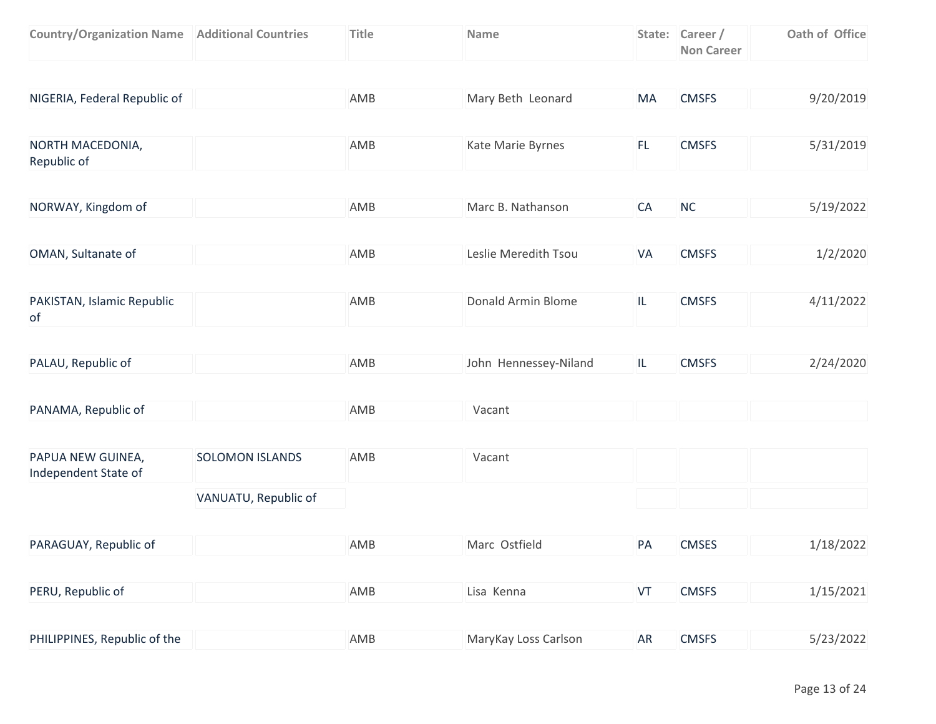| <b>Country/Organization Name   Additional Countries</b> |                        | <b>Title</b> | Name                  |     | State: Career /<br><b>Non Career</b> | Oath of Office |
|---------------------------------------------------------|------------------------|--------------|-----------------------|-----|--------------------------------------|----------------|
|                                                         |                        |              |                       |     |                                      |                |
| NIGERIA, Federal Republic of                            |                        | AMB          | Mary Beth Leonard     | MA  | <b>CMSFS</b>                         | 9/20/2019      |
|                                                         |                        |              |                       |     |                                      |                |
| NORTH MACEDONIA,<br>Republic of                         |                        | AMB          | Kate Marie Byrnes     | FL. | <b>CMSFS</b>                         | 5/31/2019      |
|                                                         |                        |              |                       |     |                                      |                |
| NORWAY, Kingdom of                                      |                        | AMB          | Marc B. Nathanson     | CA  | NC                                   | 5/19/2022      |
|                                                         |                        |              |                       |     |                                      |                |
| OMAN, Sultanate of                                      |                        | AMB          | Leslie Meredith Tsou  | VA  | <b>CMSFS</b>                         | 1/2/2020       |
|                                                         |                        |              |                       |     |                                      |                |
| PAKISTAN, Islamic Republic<br>of                        |                        | AMB          | Donald Armin Blome    | IL. | <b>CMSFS</b>                         | 4/11/2022      |
|                                                         |                        |              |                       |     |                                      |                |
| PALAU, Republic of                                      |                        | AMB          | John Hennessey-Niland | IL. | <b>CMSFS</b>                         | 2/24/2020      |
|                                                         |                        |              |                       |     |                                      |                |
| PANAMA, Republic of                                     |                        | AMB          | Vacant                |     |                                      |                |
|                                                         |                        |              |                       |     |                                      |                |
| PAPUA NEW GUINEA,<br>Independent State of               | <b>SOLOMON ISLANDS</b> | AMB          | Vacant                |     |                                      |                |
|                                                         | VANUATU, Republic of   |              |                       |     |                                      |                |
|                                                         |                        |              |                       |     |                                      |                |
| PARAGUAY, Republic of                                   |                        | AMB          | Marc Ostfield         | PA  | <b>CMSES</b>                         | 1/18/2022      |
|                                                         |                        |              |                       |     |                                      |                |
| PERU, Republic of                                       |                        | AMB          | Lisa Kenna            | VT  | <b>CMSFS</b>                         | 1/15/2021      |
| PHILIPPINES, Republic of the                            |                        | AMB          | MaryKay Loss Carlson  | AR  | <b>CMSFS</b>                         |                |
|                                                         |                        |              |                       |     |                                      | 5/23/2022      |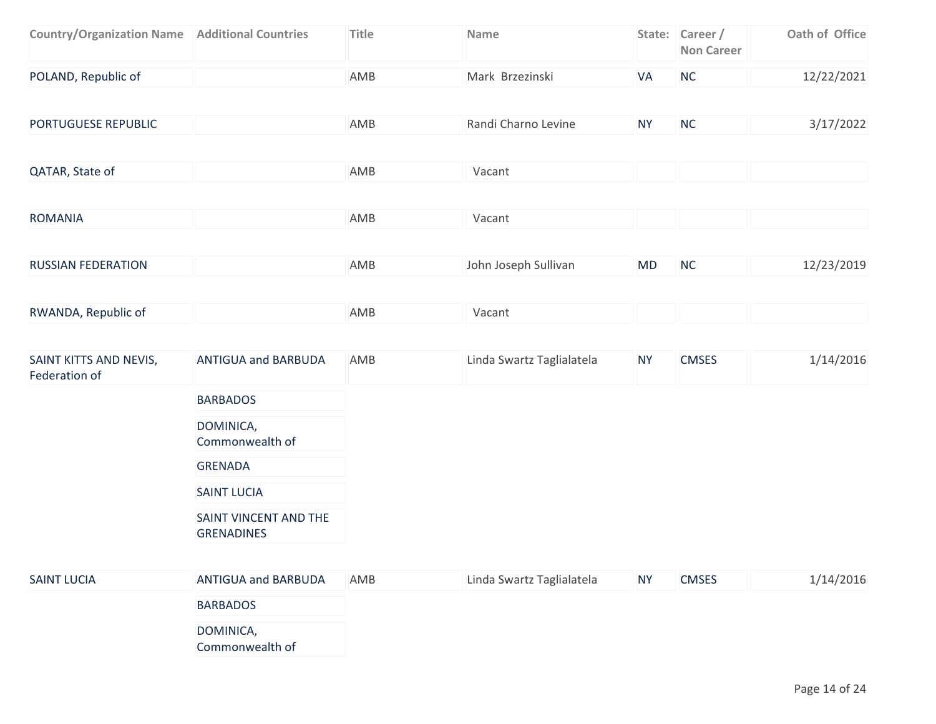| <b>Country/Organization Name   Additional Countries</b> |                                            | Title | Name                      |           | State: Career /<br><b>Non Career</b> | Oath of Office |
|---------------------------------------------------------|--------------------------------------------|-------|---------------------------|-----------|--------------------------------------|----------------|
| POLAND, Republic of                                     |                                            | AMB   | Mark Brzezinski           | VA        | NC                                   | 12/22/2021     |
| PORTUGUESE REPUBLIC                                     |                                            | AMB   | Randi Charno Levine       | <b>NY</b> | <b>NC</b>                            | 3/17/2022      |
| QATAR, State of                                         |                                            | AMB   | Vacant                    |           |                                      |                |
| <b>ROMANIA</b>                                          |                                            | AMB   | Vacant                    |           |                                      |                |
| <b>RUSSIAN FEDERATION</b>                               |                                            | AMB   | John Joseph Sullivan      | MD        | NC                                   | 12/23/2019     |
| RWANDA, Republic of                                     |                                            | AMB   | Vacant                    |           |                                      |                |
| SAINT KITTS AND NEVIS,<br>Federation of                 | <b>ANTIGUA and BARBUDA</b>                 | AMB   | Linda Swartz Taglialatela | <b>NY</b> | <b>CMSES</b>                         | 1/14/2016      |
|                                                         | <b>BARBADOS</b>                            |       |                           |           |                                      |                |
|                                                         | DOMINICA,<br>Commonwealth of               |       |                           |           |                                      |                |
|                                                         | <b>GRENADA</b>                             |       |                           |           |                                      |                |
|                                                         | <b>SAINT LUCIA</b>                         |       |                           |           |                                      |                |
|                                                         | SAINT VINCENT AND THE<br><b>GRENADINES</b> |       |                           |           |                                      |                |
| <b>SAINT LUCIA</b>                                      | ANTIGUA and BARBUDA                        | AMB   | Linda Swartz Taglialatela | <b>NY</b> | <b>CMSES</b>                         | 1/14/2016      |
|                                                         | <b>BARBADOS</b>                            |       |                           |           |                                      |                |
|                                                         | DOMINICA,<br>Commonwealth of               |       |                           |           |                                      |                |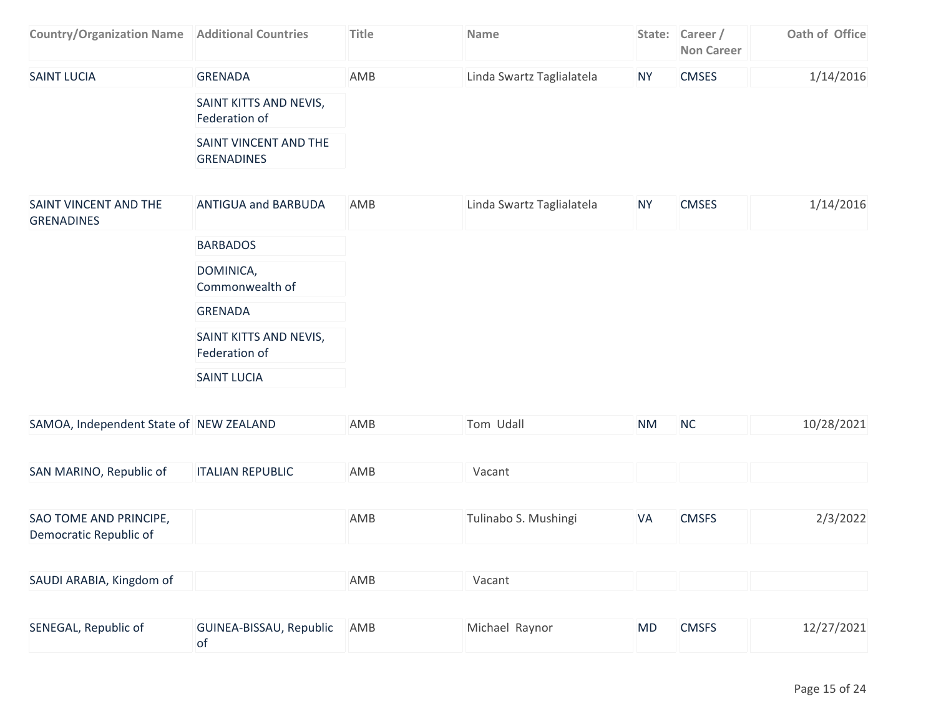| <b>Country/Organization Name</b>           | <b>Additional Countries</b>                | Title | Name                      |           | State: Career /<br><b>Non Career</b> | Oath of Office |
|--------------------------------------------|--------------------------------------------|-------|---------------------------|-----------|--------------------------------------|----------------|
| <b>SAINT LUCIA</b>                         | <b>GRENADA</b>                             | AMB   | Linda Swartz Taglialatela | <b>NY</b> | <b>CMSES</b>                         | 1/14/2016      |
|                                            | SAINT KITTS AND NEVIS,<br>Federation of    |       |                           |           |                                      |                |
|                                            | SAINT VINCENT AND THE<br><b>GRENADINES</b> |       |                           |           |                                      |                |
|                                            |                                            |       |                           |           |                                      |                |
| SAINT VINCENT AND THE<br><b>GRENADINES</b> | <b>ANTIGUA and BARBUDA</b>                 | AMB   | Linda Swartz Taglialatela | <b>NY</b> | <b>CMSES</b>                         | 1/14/2016      |
|                                            | <b>BARBADOS</b>                            |       |                           |           |                                      |                |
|                                            | DOMINICA,<br>Commonwealth of               |       |                           |           |                                      |                |
|                                            | <b>GRENADA</b>                             |       |                           |           |                                      |                |
|                                            | SAINT KITTS AND NEVIS,                     |       |                           |           |                                      |                |

Federation of

SAINT LUCIA

| SAMOA, Independent State of NEW ZEALAND          |                         | AMB | Tom Udall            | <b>NM</b> | <b>NC</b>    | 10/28/2021 |
|--------------------------------------------------|-------------------------|-----|----------------------|-----------|--------------|------------|
| SAN MARINO, Republic of                          | <b>ITALIAN REPUBLIC</b> | AMB | Vacant               |           |              |            |
|                                                  |                         |     |                      |           |              |            |
| SAO TOME AND PRINCIPE,<br>Democratic Republic of |                         | AMB | Tulinabo S. Mushingi | VA        | <b>CMSFS</b> | 2/3/2022   |
| SAUDI ARABIA, Kingdom of                         |                         | AMB | Vacant               |           |              |            |
|                                                  |                         |     |                      |           |              |            |

| SENEGAL, Republic of | GUINEA-BISSAU, Republic AMB | Michael Raynor | <b>MD</b> | <b>CMSFS</b> | 12/27/2021 |
|----------------------|-----------------------------|----------------|-----------|--------------|------------|
|                      |                             |                |           |              |            |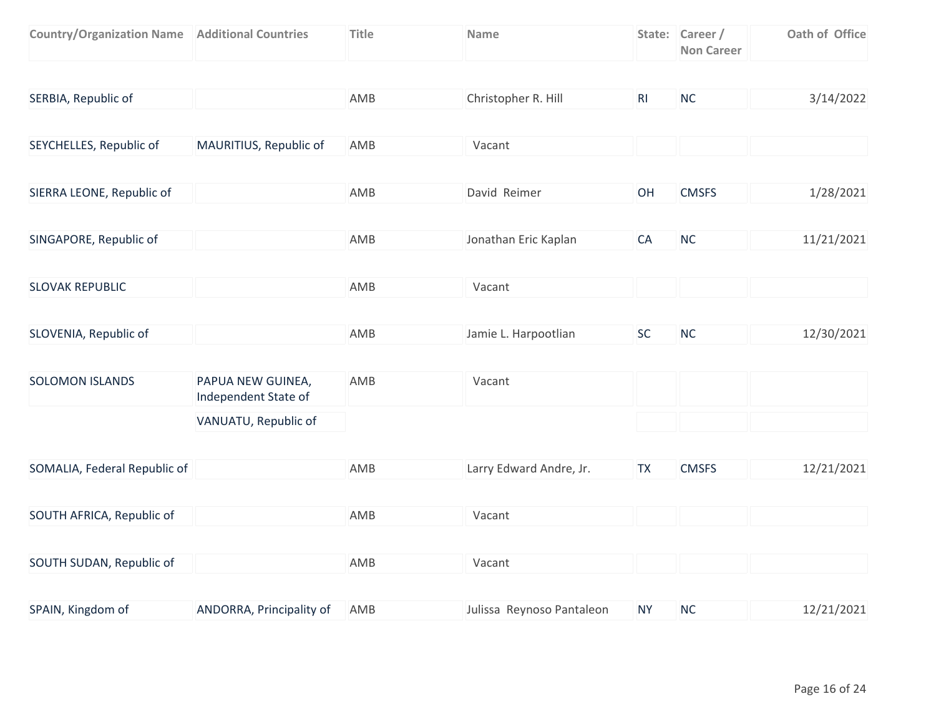| <b>Country/Organization Name   Additional Countries</b> |                                           | <b>Title</b> | <b>Name</b>               |                | State: Career /<br><b>Non Career</b> | Oath of Office |
|---------------------------------------------------------|-------------------------------------------|--------------|---------------------------|----------------|--------------------------------------|----------------|
|                                                         |                                           |              |                           |                |                                      |                |
| SERBIA, Republic of                                     |                                           | AMB          | Christopher R. Hill       | R <sub>l</sub> | NC                                   | 3/14/2022      |
|                                                         |                                           |              |                           |                |                                      |                |
| SEYCHELLES, Republic of                                 | MAURITIUS, Republic of                    | AMB          | Vacant                    |                |                                      |                |
|                                                         |                                           |              |                           |                |                                      |                |
| SIERRA LEONE, Republic of                               |                                           | AMB          | David Reimer              | OH             | <b>CMSFS</b>                         | 1/28/2021      |
|                                                         |                                           |              |                           |                |                                      |                |
| SINGAPORE, Republic of                                  |                                           | AMB          | Jonathan Eric Kaplan      | CA             | <b>NC</b>                            | 11/21/2021     |
|                                                         |                                           |              |                           |                |                                      |                |
| <b>SLOVAK REPUBLIC</b>                                  |                                           | AMB          | Vacant                    |                |                                      |                |
|                                                         |                                           |              |                           |                |                                      |                |
| SLOVENIA, Republic of                                   |                                           | AMB          | Jamie L. Harpootlian      | <b>SC</b>      | NC                                   | 12/30/2021     |
|                                                         |                                           |              |                           |                |                                      |                |
| <b>SOLOMON ISLANDS</b>                                  | PAPUA NEW GUINEA,<br>Independent State of | AMB          | Vacant                    |                |                                      |                |
|                                                         | VANUATU, Republic of                      |              |                           |                |                                      |                |
|                                                         |                                           |              |                           |                |                                      |                |
| SOMALIA, Federal Republic of                            |                                           | AMB          | Larry Edward Andre, Jr.   | <b>TX</b>      | <b>CMSFS</b>                         | 12/21/2021     |
|                                                         |                                           |              |                           |                |                                      |                |
| SOUTH AFRICA, Republic of                               |                                           | AMB          | Vacant                    |                |                                      |                |
|                                                         |                                           |              |                           |                |                                      |                |
| SOUTH SUDAN, Republic of                                |                                           | AMB          | Vacant                    |                |                                      |                |
|                                                         |                                           |              |                           |                |                                      |                |
| SPAIN, Kingdom of                                       | ANDORRA, Principality of                  | AMB          | Julissa Reynoso Pantaleon | <b>NY</b>      | NC                                   | 12/21/2021     |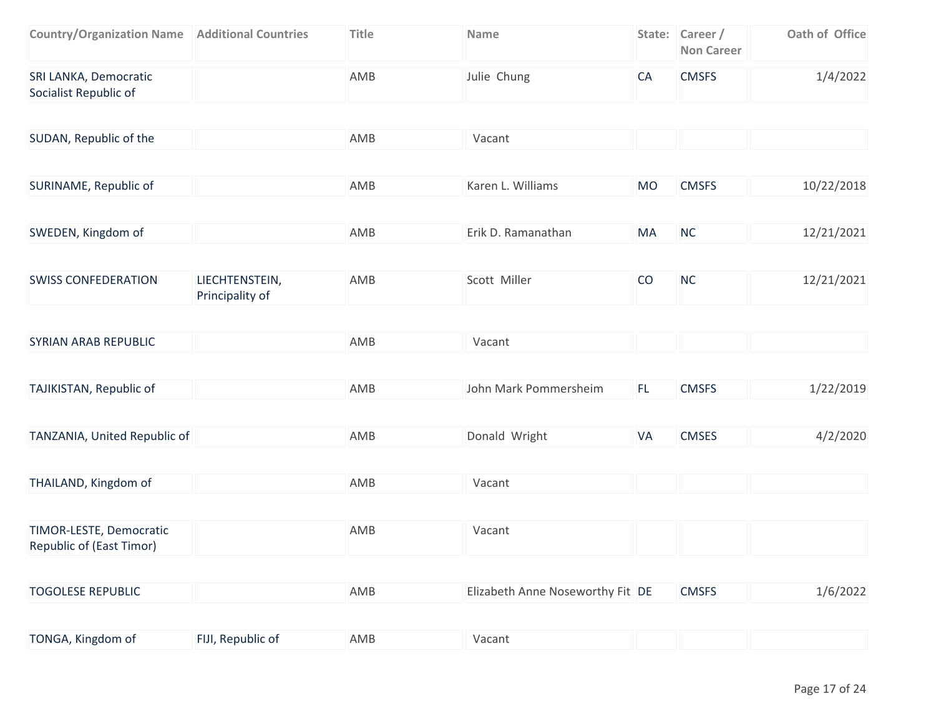| <b>Country/Organization Name   Additional Countries</b> | Title | <b>Name</b> |     | State: Career /<br>Non Career | Oath of Office |
|---------------------------------------------------------|-------|-------------|-----|-------------------------------|----------------|
| SRI LANKA, Democratic<br>Socialist Republic of          | AMB   | Julie Chung | 'CA | <b>CMSFS</b>                  | 1/4/2022       |

| SUDAN, Republic of the                              |                                   | AMB | Vacant                           |           |              |            |
|-----------------------------------------------------|-----------------------------------|-----|----------------------------------|-----------|--------------|------------|
|                                                     |                                   |     |                                  |           |              |            |
| SURINAME, Republic of                               |                                   | AMB | Karen L. Williams                | <b>MO</b> | <b>CMSFS</b> | 10/22/2018 |
|                                                     |                                   |     |                                  |           |              |            |
| SWEDEN, Kingdom of                                  |                                   | AMB | Erik D. Ramanathan               | MA        | <b>NC</b>    | 12/21/2021 |
|                                                     |                                   |     |                                  |           |              |            |
| <b>SWISS CONFEDERATION</b>                          | LIECHTENSTEIN,<br>Principality of | AMB | Scott Miller                     | CO        | <b>NC</b>    | 12/21/2021 |
|                                                     |                                   |     |                                  |           |              |            |
| <b>SYRIAN ARAB REPUBLIC</b>                         |                                   | AMB | Vacant                           |           |              |            |
|                                                     |                                   |     |                                  |           |              |            |
| TAJIKISTAN, Republic of                             |                                   | AMB | John Mark Pommersheim            | FL.       | <b>CMSFS</b> | 1/22/2019  |
|                                                     |                                   |     |                                  |           |              |            |
| TANZANIA, United Republic of                        |                                   | AMB | Donald Wright                    | VA        | <b>CMSES</b> | 4/2/2020   |
|                                                     |                                   |     |                                  |           |              |            |
| THAILAND, Kingdom of                                |                                   | AMB | Vacant                           |           |              |            |
|                                                     |                                   |     |                                  |           |              |            |
| TIMOR-LESTE, Democratic<br>Republic of (East Timor) |                                   | AMB | Vacant                           |           |              |            |
|                                                     |                                   |     |                                  |           |              |            |
| <b>TOGOLESE REPUBLIC</b>                            |                                   | AMB | Elizabeth Anne Noseworthy Fit DE |           | <b>CMSFS</b> | 1/6/2022   |
|                                                     |                                   |     |                                  |           |              |            |

| TONGA, Kingdom of<br>FIJI, Republic of<br>AMB<br>Vacant |  |
|---------------------------------------------------------|--|
|---------------------------------------------------------|--|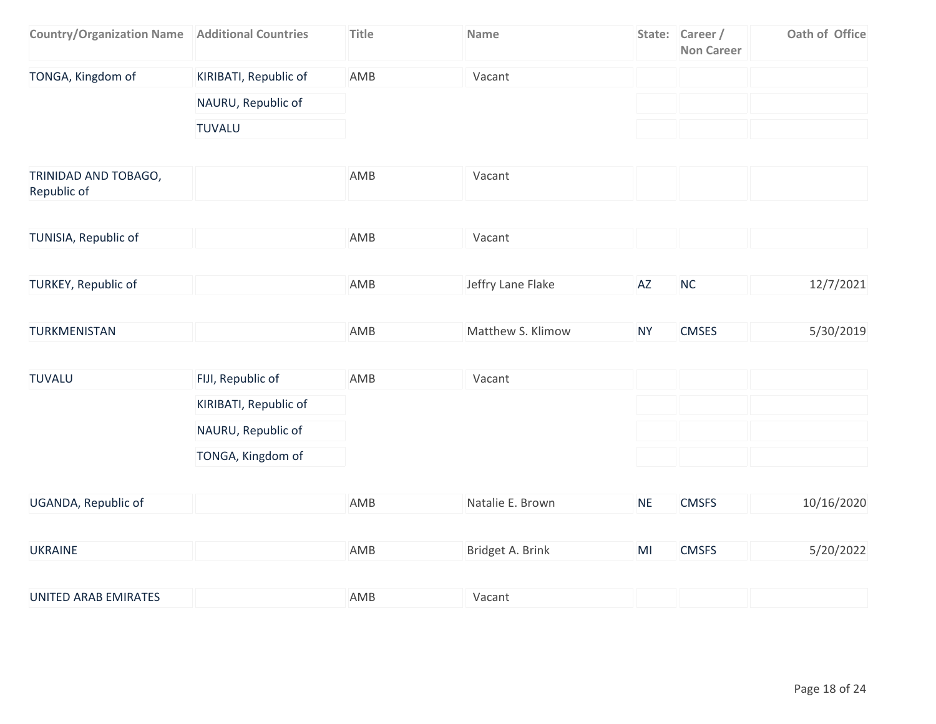| <b>Country/Organization Name   Additional Countries</b> |                       | <b>Title</b> | Name              |           | State: Career /<br><b>Non Career</b> | Oath of Office |
|---------------------------------------------------------|-----------------------|--------------|-------------------|-----------|--------------------------------------|----------------|
| TONGA, Kingdom of                                       | KIRIBATI, Republic of | AMB          | Vacant            |           |                                      |                |
|                                                         | NAURU, Republic of    |              |                   |           |                                      |                |
|                                                         | <b>TUVALU</b>         |              |                   |           |                                      |                |
| TRINIDAD AND TOBAGO,<br>Republic of                     |                       | AMB          | Vacant            |           |                                      |                |
| TUNISIA, Republic of                                    |                       | AMB          | Vacant            |           |                                      |                |
| TURKEY, Republic of                                     |                       | AMB          | Jeffry Lane Flake | AZ        | NC                                   | 12/7/2021      |
| TURKMENISTAN                                            |                       | AMB          | Matthew S. Klimow | <b>NY</b> | <b>CMSES</b>                         | 5/30/2019      |
| <b>TUVALU</b>                                           | FIJI, Republic of     | AMB          | Vacant            |           |                                      |                |
|                                                         | KIRIBATI, Republic of |              |                   |           |                                      |                |
|                                                         | NAURU, Republic of    |              |                   |           |                                      |                |
|                                                         | TONGA, Kingdom of     |              |                   |           |                                      |                |
| UGANDA, Republic of                                     |                       | AMB          | Natalie E. Brown  | <b>NE</b> | <b>CMSFS</b>                         | 10/16/2020     |
| <b>UKRAINE</b>                                          |                       | AMB          | Bridget A. Brink  | MI        | <b>CMSFS</b>                         | 5/20/2022      |
| <b>UNITED ARAB EMIRATES</b>                             |                       | AMB          | Vacant            |           |                                      |                |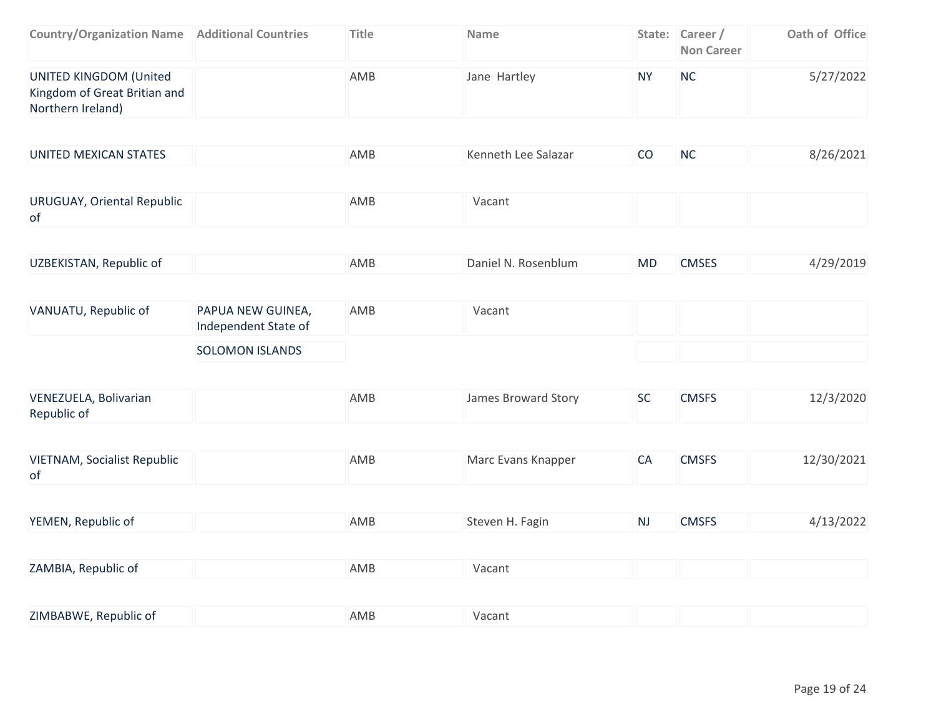| <b>Country/Organization Name   Additional Countries</b>                     | Title | <b>Name</b>  |    | State: Career /<br><b>Non Career</b> | Oath of Office |
|-----------------------------------------------------------------------------|-------|--------------|----|--------------------------------------|----------------|
| UNITED KINGDOM (United<br>Kingdom of Great Britian and<br>Northern Ireland) | AMB   | Jane Hartley | N١ | <b>NC</b>                            | 5/27/2022      |

| UNITED MEXICAN STATES | AMB | Kenneth Lee Salazar | CO | <b>NC</b> | 8/26/2021 |
|-----------------------|-----|---------------------|----|-----------|-----------|
|                       |     |                     |    |           |           |

| URUGUAY, Oriental Republic | AMB | Vacant |  |
|----------------------------|-----|--------|--|
| οt                         |     |        |  |

|  | UZBEKISTAN, Republic of | AMB | Daniel N. Rosenblum | MD. | <b>CMSES</b> | 4/29/2019 |
|--|-------------------------|-----|---------------------|-----|--------------|-----------|
|--|-------------------------|-----|---------------------|-----|--------------|-----------|

| VANUATU, Republic of | PAPUA NEW GUINEA,<br>Independent State of | AMB | Vacant |  |
|----------------------|-------------------------------------------|-----|--------|--|
|                      | <b>SOLOMON ISLANDS</b>                    |     |        |  |

| VENEZUELA, Bolivarian | AMB | James Broward Story | <b>CMSFS</b> | 12/3/2020 |
|-----------------------|-----|---------------------|--------------|-----------|
| Republic of           |     |                     |              |           |

| <b>VIETNAM, Socialist Republic</b> | AMB | Marc Evans Knapper | <b>CMSFS</b> | 12/30/2021 |
|------------------------------------|-----|--------------------|--------------|------------|
| 0t                                 |     |                    |              |            |

| YEMEN, Republic of | AMB | Steven H. Fagin | N. | <b>CMSFS</b> | 4/13/2022 |
|--------------------|-----|-----------------|----|--------------|-----------|
|                    |     |                 |    |              |           |

| ZAMBIA, Republic of | AMB | acant/ |  |  |  |
|---------------------|-----|--------|--|--|--|
|---------------------|-----|--------|--|--|--|

| ZIMBABWE, Republic of | AMB | Vacant |  |  |  |
|-----------------------|-----|--------|--|--|--|
|-----------------------|-----|--------|--|--|--|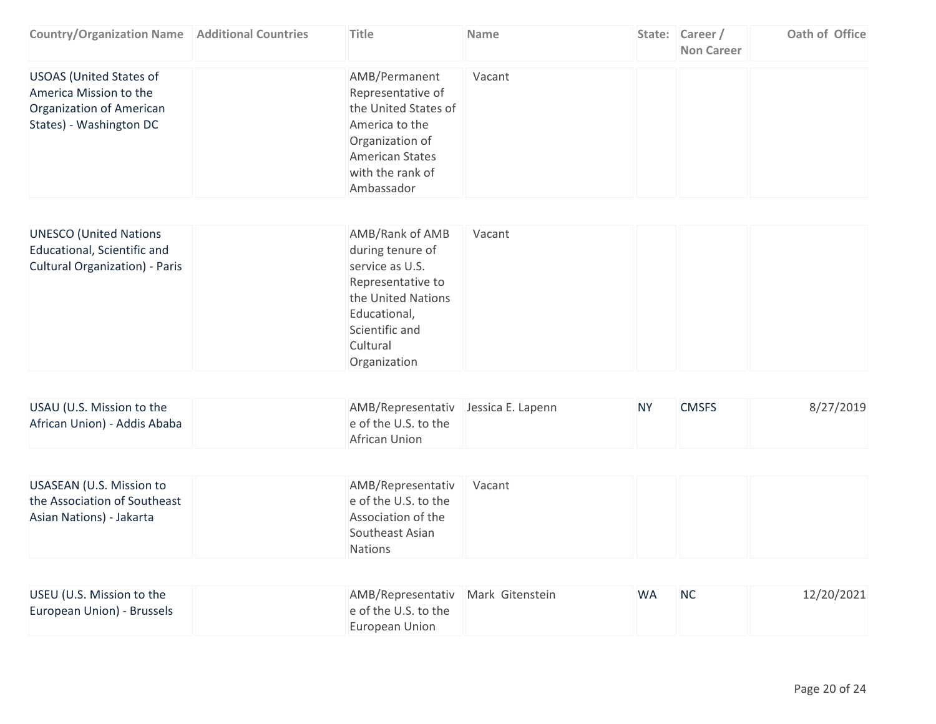| <b>Country/Organization Name   Additional Countries</b>                                                         | Title                                                                                                                                                       | <b>Name</b> | State: Career /<br><b>Non Career</b> | Oath of Office |
|-----------------------------------------------------------------------------------------------------------------|-------------------------------------------------------------------------------------------------------------------------------------------------------------|-------------|--------------------------------------|----------------|
| <b>USOAS</b> (United States of<br>America Mission to the<br>Organization of American<br>States) - Washington DC | AMB/Permanent<br>Representative of<br>the United States of<br>America to the<br>Organization of<br><b>American States</b><br>with the rank of<br>Ambassador | Vacant      |                                      |                |

| AMB/Rank of AMB<br><b>UNESCO (United Nations</b><br>Educational, Scientific and<br>during tenure of<br><b>Cultural Organization) - Paris</b><br>service as U.S.<br>Representative to<br>the United Nations<br>Educational,<br>Scientific and<br>Cultural<br>Organization | Vacant |
|--------------------------------------------------------------------------------------------------------------------------------------------------------------------------------------------------------------------------------------------------------------------------|--------|
|--------------------------------------------------------------------------------------------------------------------------------------------------------------------------------------------------------------------------------------------------------------------------|--------|

| USAU (U.S. Mission to the    | AMB/Representativ Jessica E. Lapenn | <b>NY</b> | <b>CMSFS</b> | 8/27/2019 |
|------------------------------|-------------------------------------|-----------|--------------|-----------|
| African Union) - Addis Ababa | e of the U.S. to the                |           |              |           |
|                              | African Union                       |           |              |           |

| USASEAN (U.S. Mission to     | AMB/Representativ    | Vacant |  |
|------------------------------|----------------------|--------|--|
| the Association of Southeast | e of the U.S. to the |        |  |
| Asian Nations) - Jakarta     | Association of the   |        |  |
|                              | Southeast Asian      |        |  |
|                              | <b>Nations</b>       |        |  |

| USEU (U.S. Mission to the  | AMB/Representativ   Mark Gitenstein | <b>WA</b> | - NC | 12/20/2021 |
|----------------------------|-------------------------------------|-----------|------|------------|
| European Union) - Brussels | e of the U.S. to the                |           |      |            |
|                            | European Union                      |           |      |            |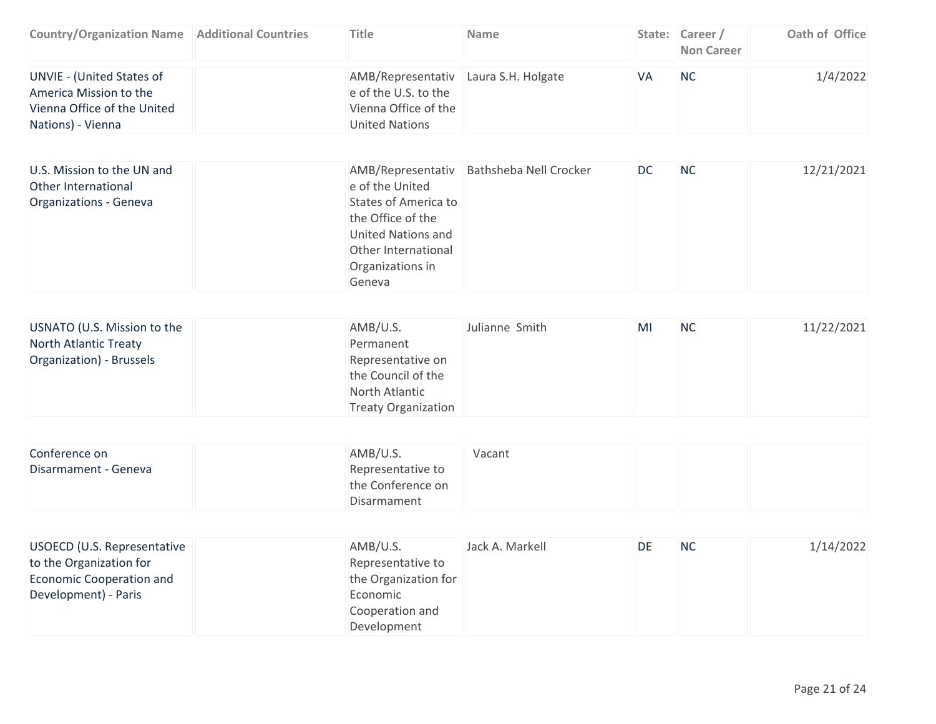| <b>Country/Organization Name   Additional Countries</b>                                                 | Title                                                                                                         | <b>Name</b> |    | State: Career /<br><b>Non Career</b> | Oath of Office |
|---------------------------------------------------------------------------------------------------------|---------------------------------------------------------------------------------------------------------------|-------------|----|--------------------------------------|----------------|
| UNVIE - (United States of<br>America Mission to the<br>Vienna Office of the United<br>Nations) - Vienna | AMB/Representativ Laura S.H. Holgate<br>e of the U.S. to the<br>Vienna Office of the<br><b>United Nations</b> |             | VA | <b>NC</b>                            | 1/4/2022       |

| U.S. Mission to the UN and<br>Other International | e of the United             | AMB/Representativ Bathsheba Nell Crocker | DC | - NC | 12/21/2021 |
|---------------------------------------------------|-----------------------------|------------------------------------------|----|------|------------|
| Organizations - Geneva                            | <b>States of America to</b> |                                          |    |      |            |
|                                                   | the Office of the           |                                          |    |      |            |
|                                                   | <b>United Nations and</b>   |                                          |    |      |            |
|                                                   | Other International         |                                          |    |      |            |
|                                                   | Organizations in            |                                          |    |      |            |
|                                                   | Geneva                      |                                          |    |      |            |

| USNATO (U.S. Mission to the | AMB/U.S.                   | Julianne Smith | MI | <b>NC</b> | 11/22/2021 |
|-----------------------------|----------------------------|----------------|----|-----------|------------|
| North Atlantic Treaty       | Permanent                  |                |    |           |            |
| Organization) - Brussels    | Representative on          |                |    |           |            |
|                             | the Council of the         |                |    |           |            |
|                             | North Atlantic             |                |    |           |            |
|                             | <b>Treaty Organization</b> |                |    |           |            |

| Conference on        | AMB/U.S.          | Vacant |  |
|----------------------|-------------------|--------|--|
| Disarmament - Geneva | Representative to |        |  |
|                      | the Conference on |        |  |
|                      | Disarmament       |        |  |

| USOECD (U.S. Representative | AMB/U.S.             | Jack A. Markell | DE. | <b>NC</b> | 1/14/2022 |
|-----------------------------|----------------------|-----------------|-----|-----------|-----------|
| to the Organization for     | Representative to    |                 |     |           |           |
| Economic Cooperation and    | the Organization for |                 |     |           |           |
| Development) - Paris        | Economic             |                 |     |           |           |
|                             | Cooperation and      |                 |     |           |           |
|                             | Development          |                 |     |           |           |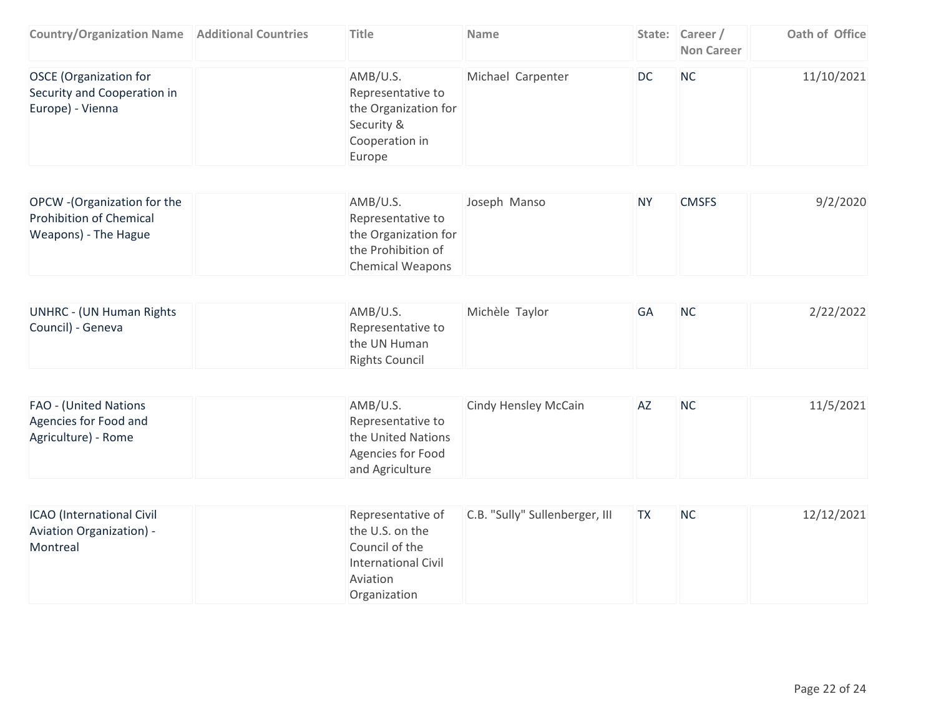| <b>Country/Organization Name   Additional Countries</b>                                | <b>Title</b>                                                                                                     | Name                           |           | State: Career /<br><b>Non Career</b> | Oath of Office |
|----------------------------------------------------------------------------------------|------------------------------------------------------------------------------------------------------------------|--------------------------------|-----------|--------------------------------------|----------------|
| <b>OSCE</b> (Organization for<br>Security and Cooperation in<br>Europe) - Vienna       | AMB/U.S.<br>Representative to<br>the Organization for<br>Security &<br>Cooperation in<br>Europe                  | Michael Carpenter              | <b>DC</b> | <b>NC</b>                            | 11/10/2021     |
|                                                                                        |                                                                                                                  |                                |           |                                      |                |
| OPCW - (Organization for the<br><b>Prohibition of Chemical</b><br>Weapons) - The Hague | AMB/U.S.<br>Representative to<br>the Organization for<br>the Prohibition of<br><b>Chemical Weapons</b>           | Joseph Manso                   | <b>NY</b> | <b>CMSFS</b>                         | 9/2/2020       |
|                                                                                        |                                                                                                                  |                                |           |                                      |                |
| <b>UNHRC - (UN Human Rights</b><br>Council) - Geneva                                   | AMB/U.S.<br>Representative to<br>the UN Human<br><b>Rights Council</b>                                           | Michèle Taylor                 | GA        | <b>NC</b>                            | 2/22/2022      |
|                                                                                        |                                                                                                                  |                                |           |                                      |                |
| FAO - (United Nations<br>Agencies for Food and<br>Agriculture) - Rome                  | AMB/U.S.<br>Representative to<br>the United Nations<br>Agencies for Food<br>and Agriculture                      | Cindy Hensley McCain           | AZ        | <b>NC</b>                            | 11/5/2021      |
|                                                                                        |                                                                                                                  |                                |           |                                      |                |
| ICAO (International Civil<br><b>Aviation Organization) -</b><br>Montreal               | Representative of<br>the U.S. on the<br>Council of the<br><b>International Civil</b><br>Aviation<br>Organization | C.B. "Sully" Sullenberger, III | <b>TX</b> | <b>NC</b>                            | 12/12/2021     |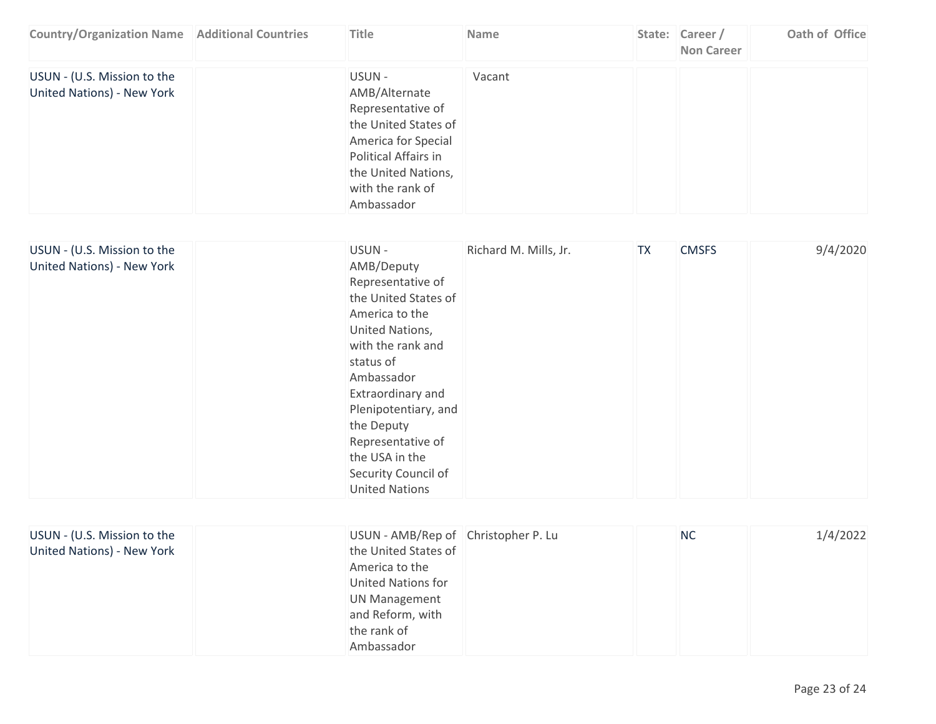| <b>Country/Organization Name   Additional Countries</b>   | <b>Title</b>                                                                                                                                                                 | <b>Name</b> | State: Career /<br><b>Non Career</b> | Oath of Office |
|-----------------------------------------------------------|------------------------------------------------------------------------------------------------------------------------------------------------------------------------------|-------------|--------------------------------------|----------------|
| USUN - (U.S. Mission to the<br>United Nations) - New York | USUN -<br>AMB/Alternate<br>Representative of<br>the United States of<br>America for Special<br>Political Affairs in<br>the United Nations,<br>with the rank of<br>Ambassador | Vacant      |                                      |                |

| USUN - (U.S. Mission to the<br>United Nations) - New York | USUN-<br>AMB/Deputy<br>Representative of<br>the United States of<br>America to the<br>United Nations,<br>with the rank and<br>status of<br>Ambassador<br>Extraordinary and<br>Plenipotentiary, and<br>the Deputy<br>Representative of<br>the USA in the<br>Security Council of<br><b>United Nations</b> | Richard M. Mills, Jr. | <b>TX</b> | <b>CMSFS</b> | 9/4/2020 |
|-----------------------------------------------------------|---------------------------------------------------------------------------------------------------------------------------------------------------------------------------------------------------------------------------------------------------------------------------------------------------------|-----------------------|-----------|--------------|----------|
|-----------------------------------------------------------|---------------------------------------------------------------------------------------------------------------------------------------------------------------------------------------------------------------------------------------------------------------------------------------------------------|-----------------------|-----------|--------------|----------|

| USUN - (U.S. Mission to the | USUN - AMB/Rep of Christopher P. Lu | <b>NC</b> | 1/4/2022 |
|-----------------------------|-------------------------------------|-----------|----------|
| United Nations) - New York  | the United States of                |           |          |
|                             | America to the                      |           |          |
|                             | <b>United Nations for</b>           |           |          |
|                             | <b>UN Management</b>                |           |          |
|                             | and Reform, with                    |           |          |
|                             | the rank of                         |           |          |
|                             | Ambassador                          |           |          |